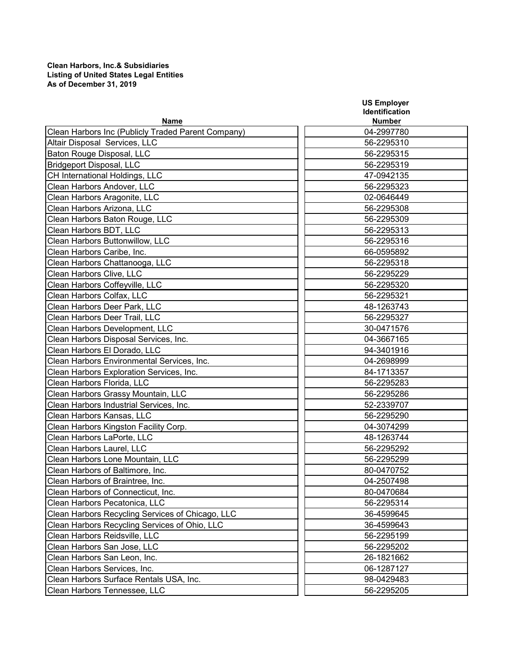## **As of December 31, 2019 Clean Harbors, Inc.& Subsidiaries Listing of United States Legal Entities**

| <b>Name</b><br><b>Number</b><br>Clean Harbors Inc (Publicly Traded Parent Company)<br>04-2997780<br>Altair Disposal Services, LLC<br>56-2295310<br>Baton Rouge Disposal, LLC<br>56-2295315<br><b>Bridgeport Disposal, LLC</b><br>56-2295319<br>CH International Holdings, LLC<br>47-0942135<br>Clean Harbors Andover, LLC<br>56-2295323<br>Clean Harbors Aragonite, LLC<br>02-0646449<br>Clean Harbors Arizona, LLC<br>56-2295308<br>Clean Harbors Baton Rouge, LLC<br>56-2295309<br>Clean Harbors BDT, LLC<br>56-2295313<br>Clean Harbors Buttonwillow, LLC<br>56-2295316<br>Clean Harbors Caribe, Inc.<br>66-0595892<br>Clean Harbors Chattanooga, LLC<br>56-2295318<br>Clean Harbors Clive, LLC<br>56-2295229<br>Clean Harbors Coffeyville, LLC<br>56-2295320<br>Clean Harbors Colfax, LLC<br>56-2295321<br>Clean Harbors Deer Park, LLC<br>48-1263743<br>Clean Harbors Deer Trail, LLC<br>56-2295327<br>Clean Harbors Development, LLC<br>30-0471576<br>Clean Harbors Disposal Services, Inc.<br>04-3667165<br>Clean Harbors El Dorado, LLC<br>94-3401916<br>Clean Harbors Environmental Services, Inc.<br>04-2698999<br>Clean Harbors Exploration Services, Inc.<br>84-1713357<br>Clean Harbors Florida, LLC<br>56-2295283<br>Clean Harbors Grassy Mountain, LLC<br>56-2295286<br>Clean Harbors Industrial Services, Inc.<br>52-2339707<br><b>Clean Harbors Kansas, LLC</b><br>56-2295290<br>Clean Harbors Kingston Facility Corp.<br>04-3074299<br>Clean Harbors LaPorte, LLC<br>48-1263744<br>Clean Harbors Laurel, LLC<br>56-2295292<br>Clean Harbors Lone Mountain, LLC<br>56-2295299<br>Clean Harbors of Baltimore, Inc.<br>80-0470752<br>Clean Harbors of Braintree, Inc.<br>04-2507498<br>Clean Harbors of Connecticut, Inc.<br>80-0470684<br>Clean Harbors Pecatonica, LLC<br>56-2295314<br>Clean Harbors Recycling Services of Chicago, LLC<br>36-4599645<br>Clean Harbors Recycling Services of Ohio, LLC<br>36-4599643<br>Clean Harbors Reidsville, LLC<br>56-2295199<br>Clean Harbors San Jose, LLC<br>56-2295202<br>Clean Harbors San Leon, Inc.<br>26-1821662<br>Clean Harbors Services, Inc.<br>06-1287127<br>Clean Harbors Surface Rentals USA, Inc.<br>98-0429483 |                              | <b>US Employer</b>    |
|-----------------------------------------------------------------------------------------------------------------------------------------------------------------------------------------------------------------------------------------------------------------------------------------------------------------------------------------------------------------------------------------------------------------------------------------------------------------------------------------------------------------------------------------------------------------------------------------------------------------------------------------------------------------------------------------------------------------------------------------------------------------------------------------------------------------------------------------------------------------------------------------------------------------------------------------------------------------------------------------------------------------------------------------------------------------------------------------------------------------------------------------------------------------------------------------------------------------------------------------------------------------------------------------------------------------------------------------------------------------------------------------------------------------------------------------------------------------------------------------------------------------------------------------------------------------------------------------------------------------------------------------------------------------------------------------------------------------------------------------------------------------------------------------------------------------------------------------------------------------------------------------------------------------------------------------------------------------------------------------------------------------------------------------------------------------------------------------------------------------------------------------------------------------------------------------|------------------------------|-----------------------|
|                                                                                                                                                                                                                                                                                                                                                                                                                                                                                                                                                                                                                                                                                                                                                                                                                                                                                                                                                                                                                                                                                                                                                                                                                                                                                                                                                                                                                                                                                                                                                                                                                                                                                                                                                                                                                                                                                                                                                                                                                                                                                                                                                                                         |                              | <b>Identification</b> |
|                                                                                                                                                                                                                                                                                                                                                                                                                                                                                                                                                                                                                                                                                                                                                                                                                                                                                                                                                                                                                                                                                                                                                                                                                                                                                                                                                                                                                                                                                                                                                                                                                                                                                                                                                                                                                                                                                                                                                                                                                                                                                                                                                                                         |                              |                       |
|                                                                                                                                                                                                                                                                                                                                                                                                                                                                                                                                                                                                                                                                                                                                                                                                                                                                                                                                                                                                                                                                                                                                                                                                                                                                                                                                                                                                                                                                                                                                                                                                                                                                                                                                                                                                                                                                                                                                                                                                                                                                                                                                                                                         |                              |                       |
|                                                                                                                                                                                                                                                                                                                                                                                                                                                                                                                                                                                                                                                                                                                                                                                                                                                                                                                                                                                                                                                                                                                                                                                                                                                                                                                                                                                                                                                                                                                                                                                                                                                                                                                                                                                                                                                                                                                                                                                                                                                                                                                                                                                         |                              |                       |
|                                                                                                                                                                                                                                                                                                                                                                                                                                                                                                                                                                                                                                                                                                                                                                                                                                                                                                                                                                                                                                                                                                                                                                                                                                                                                                                                                                                                                                                                                                                                                                                                                                                                                                                                                                                                                                                                                                                                                                                                                                                                                                                                                                                         |                              |                       |
|                                                                                                                                                                                                                                                                                                                                                                                                                                                                                                                                                                                                                                                                                                                                                                                                                                                                                                                                                                                                                                                                                                                                                                                                                                                                                                                                                                                                                                                                                                                                                                                                                                                                                                                                                                                                                                                                                                                                                                                                                                                                                                                                                                                         |                              |                       |
|                                                                                                                                                                                                                                                                                                                                                                                                                                                                                                                                                                                                                                                                                                                                                                                                                                                                                                                                                                                                                                                                                                                                                                                                                                                                                                                                                                                                                                                                                                                                                                                                                                                                                                                                                                                                                                                                                                                                                                                                                                                                                                                                                                                         |                              |                       |
|                                                                                                                                                                                                                                                                                                                                                                                                                                                                                                                                                                                                                                                                                                                                                                                                                                                                                                                                                                                                                                                                                                                                                                                                                                                                                                                                                                                                                                                                                                                                                                                                                                                                                                                                                                                                                                                                                                                                                                                                                                                                                                                                                                                         |                              |                       |
|                                                                                                                                                                                                                                                                                                                                                                                                                                                                                                                                                                                                                                                                                                                                                                                                                                                                                                                                                                                                                                                                                                                                                                                                                                                                                                                                                                                                                                                                                                                                                                                                                                                                                                                                                                                                                                                                                                                                                                                                                                                                                                                                                                                         |                              |                       |
|                                                                                                                                                                                                                                                                                                                                                                                                                                                                                                                                                                                                                                                                                                                                                                                                                                                                                                                                                                                                                                                                                                                                                                                                                                                                                                                                                                                                                                                                                                                                                                                                                                                                                                                                                                                                                                                                                                                                                                                                                                                                                                                                                                                         |                              |                       |
|                                                                                                                                                                                                                                                                                                                                                                                                                                                                                                                                                                                                                                                                                                                                                                                                                                                                                                                                                                                                                                                                                                                                                                                                                                                                                                                                                                                                                                                                                                                                                                                                                                                                                                                                                                                                                                                                                                                                                                                                                                                                                                                                                                                         |                              |                       |
|                                                                                                                                                                                                                                                                                                                                                                                                                                                                                                                                                                                                                                                                                                                                                                                                                                                                                                                                                                                                                                                                                                                                                                                                                                                                                                                                                                                                                                                                                                                                                                                                                                                                                                                                                                                                                                                                                                                                                                                                                                                                                                                                                                                         |                              |                       |
|                                                                                                                                                                                                                                                                                                                                                                                                                                                                                                                                                                                                                                                                                                                                                                                                                                                                                                                                                                                                                                                                                                                                                                                                                                                                                                                                                                                                                                                                                                                                                                                                                                                                                                                                                                                                                                                                                                                                                                                                                                                                                                                                                                                         |                              |                       |
|                                                                                                                                                                                                                                                                                                                                                                                                                                                                                                                                                                                                                                                                                                                                                                                                                                                                                                                                                                                                                                                                                                                                                                                                                                                                                                                                                                                                                                                                                                                                                                                                                                                                                                                                                                                                                                                                                                                                                                                                                                                                                                                                                                                         |                              |                       |
|                                                                                                                                                                                                                                                                                                                                                                                                                                                                                                                                                                                                                                                                                                                                                                                                                                                                                                                                                                                                                                                                                                                                                                                                                                                                                                                                                                                                                                                                                                                                                                                                                                                                                                                                                                                                                                                                                                                                                                                                                                                                                                                                                                                         |                              |                       |
|                                                                                                                                                                                                                                                                                                                                                                                                                                                                                                                                                                                                                                                                                                                                                                                                                                                                                                                                                                                                                                                                                                                                                                                                                                                                                                                                                                                                                                                                                                                                                                                                                                                                                                                                                                                                                                                                                                                                                                                                                                                                                                                                                                                         |                              |                       |
|                                                                                                                                                                                                                                                                                                                                                                                                                                                                                                                                                                                                                                                                                                                                                                                                                                                                                                                                                                                                                                                                                                                                                                                                                                                                                                                                                                                                                                                                                                                                                                                                                                                                                                                                                                                                                                                                                                                                                                                                                                                                                                                                                                                         |                              |                       |
|                                                                                                                                                                                                                                                                                                                                                                                                                                                                                                                                                                                                                                                                                                                                                                                                                                                                                                                                                                                                                                                                                                                                                                                                                                                                                                                                                                                                                                                                                                                                                                                                                                                                                                                                                                                                                                                                                                                                                                                                                                                                                                                                                                                         |                              |                       |
|                                                                                                                                                                                                                                                                                                                                                                                                                                                                                                                                                                                                                                                                                                                                                                                                                                                                                                                                                                                                                                                                                                                                                                                                                                                                                                                                                                                                                                                                                                                                                                                                                                                                                                                                                                                                                                                                                                                                                                                                                                                                                                                                                                                         |                              |                       |
|                                                                                                                                                                                                                                                                                                                                                                                                                                                                                                                                                                                                                                                                                                                                                                                                                                                                                                                                                                                                                                                                                                                                                                                                                                                                                                                                                                                                                                                                                                                                                                                                                                                                                                                                                                                                                                                                                                                                                                                                                                                                                                                                                                                         |                              |                       |
|                                                                                                                                                                                                                                                                                                                                                                                                                                                                                                                                                                                                                                                                                                                                                                                                                                                                                                                                                                                                                                                                                                                                                                                                                                                                                                                                                                                                                                                                                                                                                                                                                                                                                                                                                                                                                                                                                                                                                                                                                                                                                                                                                                                         |                              |                       |
|                                                                                                                                                                                                                                                                                                                                                                                                                                                                                                                                                                                                                                                                                                                                                                                                                                                                                                                                                                                                                                                                                                                                                                                                                                                                                                                                                                                                                                                                                                                                                                                                                                                                                                                                                                                                                                                                                                                                                                                                                                                                                                                                                                                         |                              |                       |
|                                                                                                                                                                                                                                                                                                                                                                                                                                                                                                                                                                                                                                                                                                                                                                                                                                                                                                                                                                                                                                                                                                                                                                                                                                                                                                                                                                                                                                                                                                                                                                                                                                                                                                                                                                                                                                                                                                                                                                                                                                                                                                                                                                                         |                              |                       |
|                                                                                                                                                                                                                                                                                                                                                                                                                                                                                                                                                                                                                                                                                                                                                                                                                                                                                                                                                                                                                                                                                                                                                                                                                                                                                                                                                                                                                                                                                                                                                                                                                                                                                                                                                                                                                                                                                                                                                                                                                                                                                                                                                                                         |                              |                       |
|                                                                                                                                                                                                                                                                                                                                                                                                                                                                                                                                                                                                                                                                                                                                                                                                                                                                                                                                                                                                                                                                                                                                                                                                                                                                                                                                                                                                                                                                                                                                                                                                                                                                                                                                                                                                                                                                                                                                                                                                                                                                                                                                                                                         |                              |                       |
|                                                                                                                                                                                                                                                                                                                                                                                                                                                                                                                                                                                                                                                                                                                                                                                                                                                                                                                                                                                                                                                                                                                                                                                                                                                                                                                                                                                                                                                                                                                                                                                                                                                                                                                                                                                                                                                                                                                                                                                                                                                                                                                                                                                         |                              |                       |
|                                                                                                                                                                                                                                                                                                                                                                                                                                                                                                                                                                                                                                                                                                                                                                                                                                                                                                                                                                                                                                                                                                                                                                                                                                                                                                                                                                                                                                                                                                                                                                                                                                                                                                                                                                                                                                                                                                                                                                                                                                                                                                                                                                                         |                              |                       |
|                                                                                                                                                                                                                                                                                                                                                                                                                                                                                                                                                                                                                                                                                                                                                                                                                                                                                                                                                                                                                                                                                                                                                                                                                                                                                                                                                                                                                                                                                                                                                                                                                                                                                                                                                                                                                                                                                                                                                                                                                                                                                                                                                                                         |                              |                       |
|                                                                                                                                                                                                                                                                                                                                                                                                                                                                                                                                                                                                                                                                                                                                                                                                                                                                                                                                                                                                                                                                                                                                                                                                                                                                                                                                                                                                                                                                                                                                                                                                                                                                                                                                                                                                                                                                                                                                                                                                                                                                                                                                                                                         |                              |                       |
|                                                                                                                                                                                                                                                                                                                                                                                                                                                                                                                                                                                                                                                                                                                                                                                                                                                                                                                                                                                                                                                                                                                                                                                                                                                                                                                                                                                                                                                                                                                                                                                                                                                                                                                                                                                                                                                                                                                                                                                                                                                                                                                                                                                         |                              |                       |
|                                                                                                                                                                                                                                                                                                                                                                                                                                                                                                                                                                                                                                                                                                                                                                                                                                                                                                                                                                                                                                                                                                                                                                                                                                                                                                                                                                                                                                                                                                                                                                                                                                                                                                                                                                                                                                                                                                                                                                                                                                                                                                                                                                                         |                              |                       |
|                                                                                                                                                                                                                                                                                                                                                                                                                                                                                                                                                                                                                                                                                                                                                                                                                                                                                                                                                                                                                                                                                                                                                                                                                                                                                                                                                                                                                                                                                                                                                                                                                                                                                                                                                                                                                                                                                                                                                                                                                                                                                                                                                                                         |                              |                       |
|                                                                                                                                                                                                                                                                                                                                                                                                                                                                                                                                                                                                                                                                                                                                                                                                                                                                                                                                                                                                                                                                                                                                                                                                                                                                                                                                                                                                                                                                                                                                                                                                                                                                                                                                                                                                                                                                                                                                                                                                                                                                                                                                                                                         |                              |                       |
|                                                                                                                                                                                                                                                                                                                                                                                                                                                                                                                                                                                                                                                                                                                                                                                                                                                                                                                                                                                                                                                                                                                                                                                                                                                                                                                                                                                                                                                                                                                                                                                                                                                                                                                                                                                                                                                                                                                                                                                                                                                                                                                                                                                         |                              |                       |
|                                                                                                                                                                                                                                                                                                                                                                                                                                                                                                                                                                                                                                                                                                                                                                                                                                                                                                                                                                                                                                                                                                                                                                                                                                                                                                                                                                                                                                                                                                                                                                                                                                                                                                                                                                                                                                                                                                                                                                                                                                                                                                                                                                                         |                              |                       |
|                                                                                                                                                                                                                                                                                                                                                                                                                                                                                                                                                                                                                                                                                                                                                                                                                                                                                                                                                                                                                                                                                                                                                                                                                                                                                                                                                                                                                                                                                                                                                                                                                                                                                                                                                                                                                                                                                                                                                                                                                                                                                                                                                                                         |                              |                       |
|                                                                                                                                                                                                                                                                                                                                                                                                                                                                                                                                                                                                                                                                                                                                                                                                                                                                                                                                                                                                                                                                                                                                                                                                                                                                                                                                                                                                                                                                                                                                                                                                                                                                                                                                                                                                                                                                                                                                                                                                                                                                                                                                                                                         |                              |                       |
|                                                                                                                                                                                                                                                                                                                                                                                                                                                                                                                                                                                                                                                                                                                                                                                                                                                                                                                                                                                                                                                                                                                                                                                                                                                                                                                                                                                                                                                                                                                                                                                                                                                                                                                                                                                                                                                                                                                                                                                                                                                                                                                                                                                         |                              |                       |
|                                                                                                                                                                                                                                                                                                                                                                                                                                                                                                                                                                                                                                                                                                                                                                                                                                                                                                                                                                                                                                                                                                                                                                                                                                                                                                                                                                                                                                                                                                                                                                                                                                                                                                                                                                                                                                                                                                                                                                                                                                                                                                                                                                                         |                              |                       |
|                                                                                                                                                                                                                                                                                                                                                                                                                                                                                                                                                                                                                                                                                                                                                                                                                                                                                                                                                                                                                                                                                                                                                                                                                                                                                                                                                                                                                                                                                                                                                                                                                                                                                                                                                                                                                                                                                                                                                                                                                                                                                                                                                                                         |                              |                       |
|                                                                                                                                                                                                                                                                                                                                                                                                                                                                                                                                                                                                                                                                                                                                                                                                                                                                                                                                                                                                                                                                                                                                                                                                                                                                                                                                                                                                                                                                                                                                                                                                                                                                                                                                                                                                                                                                                                                                                                                                                                                                                                                                                                                         |                              |                       |
|                                                                                                                                                                                                                                                                                                                                                                                                                                                                                                                                                                                                                                                                                                                                                                                                                                                                                                                                                                                                                                                                                                                                                                                                                                                                                                                                                                                                                                                                                                                                                                                                                                                                                                                                                                                                                                                                                                                                                                                                                                                                                                                                                                                         |                              |                       |
|                                                                                                                                                                                                                                                                                                                                                                                                                                                                                                                                                                                                                                                                                                                                                                                                                                                                                                                                                                                                                                                                                                                                                                                                                                                                                                                                                                                                                                                                                                                                                                                                                                                                                                                                                                                                                                                                                                                                                                                                                                                                                                                                                                                         |                              |                       |
|                                                                                                                                                                                                                                                                                                                                                                                                                                                                                                                                                                                                                                                                                                                                                                                                                                                                                                                                                                                                                                                                                                                                                                                                                                                                                                                                                                                                                                                                                                                                                                                                                                                                                                                                                                                                                                                                                                                                                                                                                                                                                                                                                                                         |                              |                       |
|                                                                                                                                                                                                                                                                                                                                                                                                                                                                                                                                                                                                                                                                                                                                                                                                                                                                                                                                                                                                                                                                                                                                                                                                                                                                                                                                                                                                                                                                                                                                                                                                                                                                                                                                                                                                                                                                                                                                                                                                                                                                                                                                                                                         | Clean Harbors Tennessee, LLC | 56-2295205            |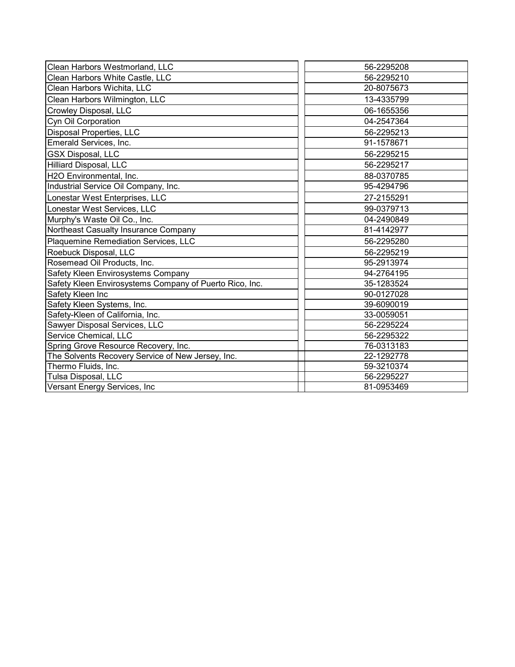| Clean Harbors Westmorland, LLC                          | 56-2295208 |
|---------------------------------------------------------|------------|
| Clean Harbors White Castle, LLC                         | 56-2295210 |
| Clean Harbors Wichita, LLC                              | 20-8075673 |
| Clean Harbors Wilmington, LLC                           | 13-4335799 |
| <b>Crowley Disposal, LLC</b>                            | 06-1655356 |
| Cyn Oil Corporation                                     | 04-2547364 |
| <b>Disposal Properties, LLC</b>                         | 56-2295213 |
| Emerald Services, Inc.                                  | 91-1578671 |
| <b>GSX Disposal, LLC</b>                                | 56-2295215 |
| Hilliard Disposal, LLC                                  | 56-2295217 |
| H2O Environmental, Inc.                                 | 88-0370785 |
| Industrial Service Oil Company, Inc.                    | 95-4294796 |
| Lonestar West Enterprises, LLC                          | 27-2155291 |
| Lonestar West Services, LLC                             | 99-0379713 |
| Murphy's Waste Oil Co., Inc.                            | 04-2490849 |
| Northeast Casualty Insurance Company                    | 81-4142977 |
| Plaquemine Remediation Services, LLC                    | 56-2295280 |
| Roebuck Disposal, LLC                                   | 56-2295219 |
| Rosemead Oil Products, Inc.                             | 95-2913974 |
| Safety Kleen Envirosystems Company                      | 94-2764195 |
| Safety Kleen Envirosystems Company of Puerto Rico, Inc. | 35-1283524 |
| Safety Kleen Inc                                        | 90-0127028 |
| Safety Kleen Systems, Inc.                              | 39-6090019 |
| Safety-Kleen of California, Inc.                        | 33-0059051 |
| Sawyer Disposal Services, LLC                           | 56-2295224 |
| Service Chemical, LLC                                   | 56-2295322 |
| Spring Grove Resource Recovery, Inc.                    | 76-0313183 |
| The Solvents Recovery Service of New Jersey, Inc.       | 22-1292778 |
| Thermo Fluids, Inc.                                     | 59-3210374 |
| Tulsa Disposal, LLC                                     | 56-2295227 |
| Versant Energy Services, Inc                            | 81-0953469 |